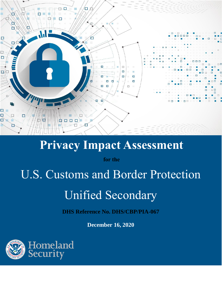

# **Privacy Impact Assessment**

**for the**

# U.S. Customs and Border Protection

# Unified Secondary

**DHS Reference No. DHS/CBP/PIA-067**

**December 16, 2020**

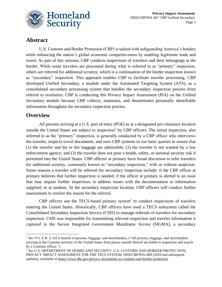

## **Abstract**

U.S. Customs and Border Protection (CBP) is tasked with safeguarding America's borders while enhancing the nation's global economic competitiveness by enabling legitimate trade and travel. As part of this mission, CBP conducts inspections of travelers and their belongings at the border. While some travelers are processed during what is referred to as "primary" inspection, others are referred for additional scrutiny, which is a continuation of the border inspection known as "secondary" inspection. This approach enables CBP to facilitate traveler processing. CBP developed Unified Secondary, a module under the Automated Targeting System (ATS), as a consolidated secondary processing system that handles the secondary inspection process from referral to resolution. CBP is conducting this Privacy Impact Assessment (PIA) on the Unified Secondary module because CBP collects, maintains, and disseminates personally identifiable information throughout the secondary inspection process.

#### **Overview**

All persons arriving at a U.S. port of entry (POE) or at a designated pre-clearance location outside the United States are subject to inspection<sup>1</sup> by CBP officers. The initial inspection, also referred to as the "primary" inspection, is generally conducted by a CBP officer who interviews the traveler, inspects travel documents, and uses CBP systems to run basic queries to ensure that (1) the traveler and his or her baggage are admissible; (2) the traveler is not wanted by a law enforcement agency; and (3) the traveler does not pose a health, safety, or national security risk if permitted into the United States. CBP officers at primary have broad discretion to refer travelers for additional scrutiny, commonly known as "secondary inspection," with or without suspicion. Some reasons a traveler will be referred for secondary inspection include: if the CBP officer at primary believes that further inspection is needed; if the officer at primary is alerted to an issue that may require further inspection; to address issues with the documentation or information supplied; or at random. At the secondary inspection location, CBP officers will conduct further assessments to resolve the reason for the referral.

CBP officers use the TECS-based primary system<sup>2</sup> to conduct inspections of travelers entering the United States. Historically, CBP officers have used a TECS subsystem called the Consolidated Secondary Inspection Service (CSIS) to manage referrals of travelers for secondary inspection. CSIS was responsible for transmitting relevant inspection and traveler information it captured to the Secure Integrated Government Mainframe Access (SIGMA), a secondary

<sup>1</sup> *See* 19 C.F.R. § 162.6 Search of persons, baggage, and merchandise, ("All persons, baggage, and merchandise arriving in the Customs territory of the United States from places outside thereof are liable to inspection and search by a Customs officer.").

<sup>2</sup> *See* U.S. DEPARTMENT OF HOMELAND SECURITY, U.S. CUSTOMS AND BORDER PROTECTION, PRIVACY IMPACT ASSESSMENT FOR THE TECS SYSTEM, DHS/CBP/PIA-009 (2010 and subsequent updates), *available at* [https://www.dhs.gov/privacy-documents-us-customs-and-border-protection.](https://www.dhs.gov/privacy-documents-us-customs-and-border-protection)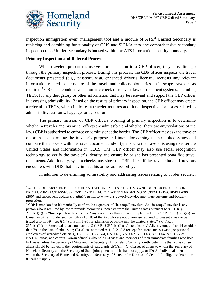

inspection immigration event management tool and a module of  $ATS$ <sup>3</sup>. Unified Secondary is replacing and combining functionality of CSIS and SIGMA into one comprehensive secondary inspection tool. Unified Secondary is housed within the ATS information security boundary.

#### **Primary Inspection and Referral Process**

When travelers present themselves for inspection to a CBP officer, they must first go through the primary inspection process. During this process, the CBP officer inspects the travel documents presented (e.g., passport, visa, enhanced driver's license), requests any relevant information related to the nature of the travel, and collects biometrics on in-scope travelers, as required.<sup>4</sup> CBP also conducts an automatic check of relevant law enforcement systems, including TECS, for any derogatory or other information that may be relevant and support the CBP officer in assessing admissibility. Based on the results of primary inspection, the CBP officer may create a referral in TECS, which indicates a traveler requires additional inspection for issues related to admissibility, customs, baggage, or agriculture.

The primary mission of CBP officers working at primary inspection is to determine whether a traveler and his or her effects are admissible and whether there are any violations of the laws CBP is authorized to enforce or administer at the border. The CBP officer may ask the traveler questions to determine the traveler's purpose and intent for coming to the United States and compare the answers with the travel document and/or type of visa the traveler is using to enter the United States and information in TECS. The CBP officer may also use facial recognition technology to verify the traveler's identity and ensure he or she has presented bona fide travel documents. Additionally, system checks may show the CBP officer if the traveler has had previous encounters with DHS that may impact his or her admissibility.

In addition to determining admissibility and addressing issues relating to border security,

 $4$  CBP is mandated to biometrically confirm the departure of "in-scope" travelers. An "in-scope" traveler is any person who is required by law to provide biometrics upon exit from the United States pursuant to 8 C.F.R. §  $235.1(f)(1)(ii)$ . "In-scope" travelers include "any alien other than aliens exempted under [8 C.F.R. 235.1(f)(1)(iv)] or Canadian citizens under section  $101(a)(15)(B)$  of the Act who are not otherwise required to present a visa or be issued a form I-94 (see § 1.4) or Form I-95 for admission or parole into the United States." 8 C.F.R. § 235.1(f)(1)(ii). Exempted aliens, pursuant to 8 C.F.R. § 235.1(f)(1)(iv) include, "(A) Aliens younger than 14 or older than 79 on the data of admission; (B) Aliens admitted A-1, A-2, C-3 (except for attendants, servants, or personal employees of accredited officials), G-1, G-2, G-3, G-4, NATO-1, NATO-2, NATO-3, NATO-4, NATO-5, or NATO-6 visas, and certain Taiwan officials who hold E-1 visas and members of their immediate families who hold E-1 visas unless the Secretary of State and the Secretary of Homeland Security jointly determine that a class of such aliens should be subject to the requirements of paragraph  $(d)(1)(ii)$ ; (C) Classes of aliens to whom the Secretary of Homeland Security and the Secretary of State jointly determine it shall not apply; or (D) An individual alien to whom the Secretary of Homeland Security, the Secretary of State, or the Director of Central Intelligence determines it shall not apply."

<sup>3</sup> *See* U.S. DEPARTMENT OF HOMELAND SECURITY, U.S. CUSTOMS AND BORDER PROTECTION, PRIVACY IMPACT ASSESSMENT FOR THE AUTOMATED TARGETING SYSTEM, DHS/CBP/PIA-006 (2007 and subsequent updates), *available at* [https://www.dhs.gov/privacy-documents-us-customs-and-border](https://www.dhs.gov/privacy-documents-us-customs-and-border-protection)[protection.](https://www.dhs.gov/privacy-documents-us-customs-and-border-protection)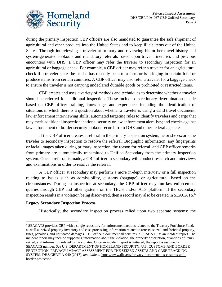

during the primary inspection CBP officers are also mandated to guarantee the safe shipment of agricultural and other products into the United States and to keep illicit items out of the United States. Through interviewing a traveler at primary and reviewing his or her travel history and system-generated lookouts and mandatory referrals based upon travel itineraries and previous encounters with DHS, a CBP officer may refer the traveler to secondary inspection for an agricultural or baggage check. For example, a CBP officer may refer a traveler for an agricultural check if a traveler states he or she has recently been to a farm or is bringing in certain food or produce items from certain countries. A CBP officer may also refer a traveler for a baggage check to ensure the traveler is not carrying undeclared dutiable goods or prohibited or restricted items.

CBP creates and uses a variety of methods and techniques to determine whether a traveler should be referred for additional inspection. These include discretionary determinations made based on CBP officer training, knowledge, and experience, including the identification of situations in which there is a question about whether a traveler is using a valid travel document; law enforcement interviewing skills; automated targeting rules to identify travelers and cargo that may merit additional inspection; national security or law enforcement alert lists; and checks against law enforcement or border security lookout records from DHS and other federal agencies.

If the CBP officer creates a referral in the primary inspection system, he or she escorts the traveler to secondary inspection to resolve the referral. Biographic information, any fingerprints or facial images taken during primary inspection, the reason for referral, and CBP officer remarks from primary are automatically transmitted to Unified Secondary from the primary inspection system. Once a referral is made, a CBP officer in secondary will conduct research and interviews and examinations in order to resolve the referral.

A CBP officer at secondary may perform a more in-depth interview or a full inspection relating to issues such as admissibility, customs (baggage), or agricultural, based on the circumstances. During an inspection at secondary, the CBP officer may run law enforcement queries through CBP and other systems on the TECS and/or ATS platform. If the secondary inspection results in a violation being discovered, then a record may also be created in SEACATS.<sup>5</sup>

#### **Legacy Secondary Inspection Process**

Historically, the secondary inspection process relied upon two separate systems: the

<sup>5</sup> SEACATS provides CBP with a single repository for enforcement actions related to the Treasury Forfeiture Fund, as well as seized property inventory and case processing information related to arrests, seized and forfeited property, fines, penalties, and liquidated damages. CBP officers document all seizures in SEACATS as an incident report. The incident report may include supporting information about the violation, the property description, quantities of items seized, and information related to the violator. Once an incident report is initiated, the report is assigned a SEACATS number. *See* U.S. DEPARTMENT OF HOMELAND SECURITY, U.S. CUSTOMS AND BORDER PROTECTION, PRIVACY IMPACT ASSESSMENT FOR THE SEIZED ASSETS AND CASE TRACKING SYSTEM, DHS/CBP/PIA-040 (2017), *available at* [https://www.dhs.gov/privacy-documents-us-customs-and](https://www.dhs.gov/privacy-documents-us-customs-and-border-protection)[border-protection.](https://www.dhs.gov/privacy-documents-us-customs-and-border-protection)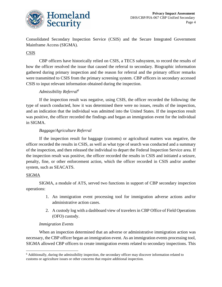

Consolidated Secondary Inspection Service (CSIS) and the Secure Integrated Government Mainframe Access (SIGMA).

#### CSIS

CBP officers have historically relied on CSIS, a TECS subsystem, to record the results of how the officer resolved the issue that caused the referral to secondary. Biographic information gathered during primary inspection and the reason for referral and the primary officer remarks were transmitted to CSIS from the primary screening system. CBP officers in secondary accessed CSIS to input relevant information obtained during the inspection.

#### *Admissibility Referral<sup>6</sup>*

If the inspection result was negative, using CSIS, the officer recorded the following: the type of search conducted, how it was determined there were no issues, results of the inspection, and an indication that the individual was admitted into the United States. If the inspection result was positive, the officer recorded the findings and began an immigration event for the individual in SIGMA.

#### *Baggage/Agriculture Referral*

If the inspection result for baggage (customs) or agricultural matters was negative, the officer recorded the results in CSIS, as well as what type of search was conducted and a summary of the inspection, and then released the individual to depart the Federal Inspection Service area. If the inspection result was positive, the officer recorded the results in CSIS and initiated a seizure, penalty, fine, or other enforcement action, which the officer recorded in CSIS and/or another system, such as SEACATS.

#### SIGMA

SIGMA, a module of ATS, served two functions in support of CBP secondary inspection operations:

- 1. An immigration event processing tool for immigration adverse actions and/or administrative action cases.
- 2. A custody log with a dashboard view of travelers in CBP Office of Field Operations (OFO) custody.

#### *Immigration Events*

When an inspection determined that an adverse or administrative immigration action was necessary, the CBP officer began an immigration event. As an immigration events processing tool, SIGMA allowed CBP officers to create immigration events related to secondary inspections. This

<sup>6</sup> Additionally, during the admissibility inspection, the secondary officer may discover information related to customs or agriculture issues or other concerns that require additional inspection.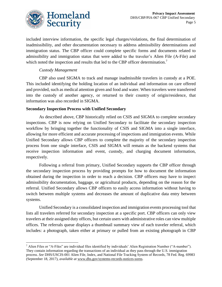

included interview information, the specific legal charges/violations, the final determination of inadmissibility, and other documentation necessary to address admissibility determinations and immigration status. The CBP officer could complete specific forms and documents related to admissibility and immigration status that were added to the traveler's Alien File (A-File) and which noted the inspection and results that led to the CBP officer determination.<sup>7</sup>

#### *Custody Management*

CBP also used SIGMA to track and manage inadmissible travelers in custody at a POE. This included identifying the holding location of an individual and information on care offered and provided, such as medical attention given and food and water. When travelers were transferred into the custody of another agency, or returned to their country of origin/residence, that information was also recorded in SIGMA.

#### **Secondary Inspection Process with Unified Secondary**

As described above, CBP historically relied on CSIS and SIGMA to complete secondary inspections. CBP is now relying on Unified Secondary to facilitate the secondary inspection workflow by bringing together the functionality of CSIS and SIGMA into a single interface, allowing for more efficient and accurate processing of inspections and immigration events. While Unified Secondary allows CBP officers to complete the majority of the secondary inspection process from one single interface, CSIS and SIGMA will remain as the backend systems that receive inspection information and event, custody, and charging document information, respectively.

Following a referral from primary, Unified Secondary supports the CBP officer through the secondary inspection process by providing prompts for how to document the information obtained during the inspection in order to reach a decision. CBP officers may have to inspect admissibility documentation, baggage, or agricultural products, depending on the reason for the referral. Unified Secondary allows CBP officers to easily access information without having to switch between multiple systems and decreases the amount of duplicative data entry between systems.

Unified Secondary is a consolidated inspection and immigration events processing tool that lists all travelers referred for secondary inspection at a specific port. CBP officers can only view travelers at their assigned duty offices, but certain users with administrative roles can view multiple offices. The referrals queue displays a thumbnail summary view of each traveler referral, which includes: a photograph, taken either at primary or pulled from an existing photograph in CBP

 $^7$  Alien Files or "A-Files" are individual files identified by individuals' Alien Registration Number ("A-number"). They contain information regarding the transactions of an individual as they pass through the U.S. immigration process. *See* DHS/USCIS-001 Alien File, Index, and National File Tracking System of Records, 78 Fed. Reg. 69983 (September 18, 2017), *available at* [www.dhs.gov/systems-records-notices-sorns.](file://///dhsnet.ds1.dhs/osem_shares/PRIV/Privacy%20Office/Compliance/PIA/CBP/DHS-CBP-PIA-XXX%20Unified%20Secondary/www.dhs.gov/systems-records-notices-sorns)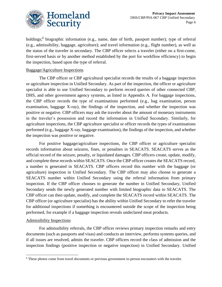

holdings;<sup>8</sup> biographic information (e.g., name, date of birth, passport number); type of referral (e.g., admissibility, baggage, agriculture); and travel information (e.g., flight number), as well as the status of the traveler in secondary. The CBP officer selects a traveler (either on a first-come, first-served basis or by another method established by the port for workflow efficiency) to begin the inspection, based upon the type of referral.

#### Baggage/Agriculture Inspections

The CBP officer or CBP agricultural specialist records the results of a baggage inspection or agriculture inspection in Unified Secondary. As part of the inspection, the officer or agriculture specialist is able to use Unified Secondary to perform record queries of other connected CBP, DHS, and other government agency systems, as listed in Appendix A. For baggage inspections, the CBP officer records the type of examinations performed (e.g., bag examination, person examination, baggage X-ray), the findings of the inspection, and whether the inspection was positive or negative. CBP officers may ask the traveler about the amount of monetary instruments in the traveler's possession and record the information in Unified Secondary. Similarly, for agriculture inspections, the CBP agriculture specialist or officer records the types of examinations performed (e.g., baggage X-ray, baggage examination), the findings of the inspection, and whether the inspection was positive or negative.

For positive baggage/agriculture inspections, the CBP officer or agriculture specialist records information about seizures, fines, or penalties in SEACATS. SEACATS serves as the official record of the seizure, penalty, or liquidated damages. CBP officers create, update, modify, and complete these records within SEACATS. Once the CBP officer creates the SEACATS record, a number is generated in SEACATS. CBP officers record this number with the baggage (or agriculture) inspection in Unified Secondary. The CBP officer may also choose to generate a SEACATS number within Unified Secondary using the referral information from primary inspection. If the CBP officer chooses to generate the number in Unified Secondary, Unified Secondary sends the newly generated number with limited biographic data to SEACATS. The CBP officer can then update, modify, and complete the SEACATS record within SEACATS. The CBP officer (or agriculture specialist) has the ability within Unified Secondary to refer the traveler for additional inspections if something is encountered outside the scope of the inspection being performed, for example if a baggage inspection reveals undeclared meat products.

#### Admissibility Inspections

For admissibility referrals, the CBP officer reviews primary inspection remarks and entry documents (such as passports and visas) and conducts an interview, performs systems queries, and if all issues are resolved, admits the traveler. CBP officers record the class of admission and the inspection findings (positive inspection or negative inspection) in Unified Secondary. Unified

<sup>8</sup> These photos come from travel documents or previous government in-person encounters with the traveler.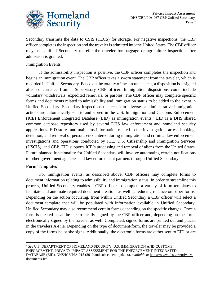

Secondary transmits the data to CSIS (TECS) for storage. For negative inspections, the CBP officer completes the inspection and the traveler is admitted into the United States. The CBP officer may use Unified Secondary to refer the traveler for baggage or agriculture inspection after admission is granted.

#### Immigration Events

If the admissibility inspection is positive, the CBP officer completes the inspection and begins an immigration event. The CBP officer takes a sworn statement from the traveler, which is recorded in Unified Secondary. Based on the totality of the circumstances, a disposition is assigned after concurrence from a Supervisory CBP officer. Immigration dispositions could include voluntary withdrawals, expedited removals, or paroles. The CBP officer may complete specific forms and documents related to admissibility and immigration status to be added to the event in Unified Secondary. Secondary inspections that result in adverse or administrative immigration actions are automatically sent to and stored in the U.S. Immigration and Customs Enforcement (ICE) Enforcement Integrated Database (EID) as immigration events.<sup>9</sup> EID is a DHS shared common database repository used by several DHS law enforcement and homeland security applications. EID stores and maintains information related to the investigation, arrest, booking, detention, and removal of persons encountered during immigration and criminal law enforcement investigations and operations conducted by ICE, U.S. Citizenship and Immigration Services (USCIS), and CBP. EID supports ICE's processing and removal of aliens from the United States. Future planned functionality for Unified Secondary will involve automating certain notifications to other government agencies and law enforcement partners through Unified Secondary.

#### **Form Templates**

For immigration events, as described above, CBP officers may complete forms to document information relating to admissibility and immigration status. In order to streamline this process, Unified Secondary enables a CBP officer to complete a variety of form templates to facilitate and automate required document creation, as well as reducing reliance on paper forms. Depending on the action occurring, from within Unified Secondary a CBP officer will select a document template that will be populated with information available in Unified Secondary. Unified Secondary may also recommend certain forms depending on the specific charges. Once a form is created it can be electronically signed by the CBP officer and, depending on the form, electronically signed by the traveler as well. Completed, signed forms are printed out and placed in the travelers A-File. Depending on the type of document/form, the traveler may be provided a copy of the forms he or she signs. Additionally, the electronic forms are either sent to EID or are

<sup>9</sup> *See* U.S. DEPARTMENT OF HOMELAND SECURITY, U.S. IMMIGRATION AND CUSTOMS ENFORCEMENT, PRIVACY IMPACT ASSESSMENT FOR THE ENFORCEMENT INTEGRATED DATABASE (EID), DHS/ICE/PIA-015 (2010 and subsequent updates), *available at* [https://www.dhs.gov/privacy](https://www.dhs.gov/privacy-documents-ice)[documents-ice.](https://www.dhs.gov/privacy-documents-ice)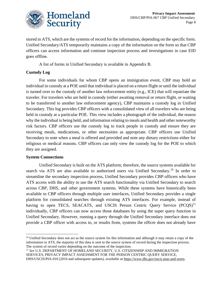

stored in ATS, which are the systems of record for the information, depending on the specific form. Unified Secondary/ATS temporarily maintains a copy of the information on the form so that CBP officers can access information and continue inspection process and investigations in case EID goes offline.

A list of forms in Unified Secondary is available in Appendix B.

#### **Custody Log**

For some individuals for whom CBP opens an immigration event, CBP may hold an individual in custody at a POE until that individual is placed on a return flight or until the individual is turned over to the custody of another law enforcement entity (e.g., ICE) that will repatriate the traveler. For travelers who are held in custody (either awaiting removal or return flight, or waiting to be transferred to another law enforcement agency), CBP maintains a custody log in Unified Secondary. This log provides CBP officers with a consolidated view of all travelers who are being held in custody at a particular POE. This view includes a photograph of the individual, the reason why the individual is being held, and information relating to meals and health and other noteworthy risk factors. CBP officers use the custody log to track people in custody and ensure they are receiving meals, medications, or other necessities as appropriate. CBP officers use Unified Secondary to note when a meal is offered and provided and note any dietary restrictions either for religious or medical reasons. CBP officers can only view the custody log for the POE to which they are assigned.

#### **System Connections**

Unified Secondary is built on the ATS platform; therefore, the source systems available for search via ATS are also available to authorized users via Unified Secondary.<sup>10</sup> In order to streamline the secondary inspection process, Unified Secondary provides CBP officers who have ATS access with the ability to use the ATS search functionality via Unified Secondary to search across CBP, DHS, and other government systems. While these systems have historically been available to CBP officers through multiple user interfaces, Unified Secondary provides a single platform for consolidated searches through existing ATS interfaces. For example, instead of having to open TECS, SEACATS, and USCIS Person Centric Query Service (PCQS)<sup>11</sup> individually, CBP officers can now access those databases by using the super query function in Unified Secondary. However, running a query through the Unified Secondary interface does not provide a CBP officer with access to, or results from, systems the officer does not already have

<sup>&</sup>lt;sup>10</sup> Unified Secondary does not act as the source system for this information and although it may retain a copy of the information in ATS, the majority of this data is sent to the source system of record during the inspection process. The system of record varies depending on the outcome of the inspection.

<sup>11</sup> *See* U.S. DEPARTMENT OF HOMELAND SECURITY, U.S. CITIZENSHIP AND IMMIGRATION SERVICES, PRIVACY IMPACT ASSESSMENT FOR THE PERSON CENTRIC QUERY SERVICE, DHS/USCIS/PIA-010 (2016 and subsequent updates), *available at* [https://www.dhs.gov/uscis-pias-and-sorns.](https://www.dhs.gov/uscis-pias-and-sorns)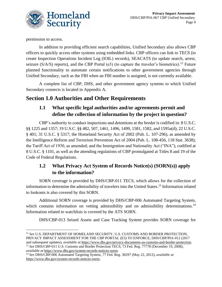

permission to access.

In addition to providing efficient search capabilities, Unified Secondary also allows CBP officers to quickly access other systems using embedded links. CBP officers can link to TECS (to create Inspection Operations Incident Log (IOIL) records), SEACATS (to update search, arrest, seizure ( $S/A/S$ ) reports), and the CBP Portal (e3) (to capture the traveler's biometrics).<sup>12</sup> Future planned functionality to automate certain notifications to other government agencies through Unified Secondary, such as the FBI when an FBI number is assigned, is not currently available.

A complete list of CBP, DHS, and other government agency systems to which Unified Secondary connects is located in Appendix A.

## **Section 1.0 Authorities and Other Requirements**

## **1.1 What specific legal authorities and/or agreements permit and define the collection of information by the project in question?**

CBP's authority to conduct inspections and detentions at the border is codified in: 8 U.S.C. §§ 1225 and 1357; 19 U.S.C. §§ 482, 507, 1461, 1496, 1499, 1581, 1582, and 1595a(d); 22 U.S.C. § 401; 31 U.S.C. § 5317; the Homeland Security Act of 2002 (Pub. L. 107-296), as amended by the Intelligence Reform and Terrorism Prevention Act of 2004 (Pub. L. 108-456, 118 Stat. 3638); the Tariff Act of 1930, as amended; and the Immigration and Nationality Act ("INA"), codified at 8 U.S.C. § 1101, as well as the attending regulations of CBP promulgated at Titles 8 and 19 of the Code of Federal Regulations.

## **1.2 What Privacy Act System of Records Notice(s) (SORN(s)) apply to the information?**

SORN coverage is provided by DHS/CBP-011 TECS, which allows for the collection of information to determine the admissibility of travelers into the United States.<sup>13</sup> Information related to lookouts is also covered by this SORN.

Additional SORN coverage is provided by DHS/CBP-006 Automated Targeting System, which contains information on vetting admissibility and on admissibility determinations.<sup>14</sup> Information related to watchlists is covered by the ATS SORN.

DHS/CBP-013 Seized Assets and Case Tracking System provides SORN coverage for

<sup>12</sup> *See* U.S. DEPARTMENT OF HOMELAND SECURITY, U.S. CUSTOMS AND BORDER PROTECTION, PRIVACY IMPACT ASSESSMENT FOR THE CBP PORTAL (E3) TO ENFORCE, DHS/CBP/PIA-012 (2017 and subsequent updates), *available at* [https://www.dhs.gov/privacy-documents-us-customs-and-border-protection.](https://www.dhs.gov/privacy-documents-us-customs-and-border-protection) <sup>13</sup> *See* DHS/CBP-011 U.S. Customs and Border Protection TECS, 73 Fed. Reg. 77778 (December 19, 2008), *available at* [https://www.dhs.gov/system-records-notices-sorns.](https://www.dhs.gov/system-records-notices-sorns)

<sup>14</sup> *See* DHS/CBP-006 Automated Targeting System, 77 Fed. Reg. 30297 (May 22, 2012), *available at*  [https://www.dhs.gov/system-records-notices-sorns.](https://www.dhs.gov/system-records-notices-sorns)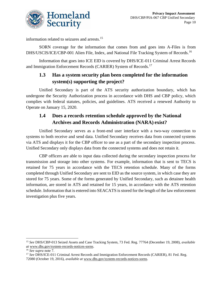

information related to seizures and arrests.<sup>15</sup>

SORN coverage for the information that comes from and goes into A-Files is from DHS/USCIS/ICE/CBP-001 Alien File, Index, and National File Tracking System of Records.<sup>16</sup>

Information that goes into ICE EID is covered by DHS/ICE-011 Criminal Arrest Records and Immigration Enforcement Records (CARIER) System of Records.<sup>17</sup>

## **1.3 Has a system security plan been completed for the information system(s) supporting the project?**

Unified Secondary is part of the ATS security authorization boundary, which has undergone the Security Authorization process in accordance with DHS and CBP policy, which complies with federal statutes, policies, and guidelines. ATS received a renewed Authority to Operate on January 15, 2020.

#### **1.4 Does a records retention schedule approved by the National Archives and Records Administration (NARA) exist?**

Unified Secondary serves as a front-end user interface with a two-way connection to systems to both receive and send data. Unified Secondary receives data from connected systems via ATS and displays it for the CBP officer to use as a part of the secondary inspection process. Unified Secondary only displays data from the connected systems and does not retain it.

CBP officers are able to input data collected during the secondary inspection process for transmission and storage into other systems. For example, information that is sent to TECS is retained for 75 years in accordance with the TECS retention schedule. Many of the forms completed through Unified Secondary are sent to EID as the source system, in which case they are stored for 75 years. Some of the forms generated by Unified Secondary, such as detainee health information, are stored in ATS and retained for 15 years, in accordance with the ATS retention schedule. Information that is entered into SEACATS is stored for the length of the law enforcement investigation plus five years.

<sup>15</sup> *See* DHS/CBP-013 Seized Assets and Case Tracking System, 73 Fed. Reg. 77764 (December 19, 2008), *available at* [www.dhs.gov/system-records-notices-sorns.](http://www.dhs.gov/system-records-notices-sorns)

<sup>16</sup> *See supra* note 7.

<sup>&</sup>lt;sup>17</sup> See DHS/ICE-011 Criminal Arrest Records and Immigration Enforcement Records (CARIER), 81 Fed. Reg. 72080 (October 19, 2016), *available at* [www.dhs.gov/system-records-notices-sorns.](http://www.dhs.gov/system-records-notices-sorns)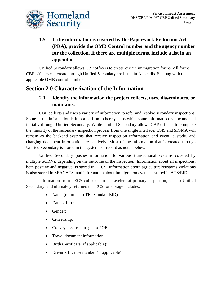

## **1.5 If the information is covered by the Paperwork Reduction Act (PRA), provide the OMB Control number and the agency number for the collection. If there are multiple forms, include a list in an appendix.**

Unified Secondary allows CBP officers to create certain immigration forms. All forms CBP officers can create through Unified Secondary are listed in Appendix B, along with the applicable OMB control numbers.

# **Section 2.0 Characterization of the Information**

## **2.1 Identify the information the project collects, uses, disseminates, or maintains.**

CBP collects and uses a variety of information to refer and resolve secondary inspections. Some of the information is imported from other systems while some information is documented initially through Unified Secondary. While Unified Secondary allows CBP officers to complete the majority of the secondary inspection process from one single interface, CSIS and SIGMA will remain as the backend systems that receive inspection information and event, custody, and charging document information, respectively. Most of the information that is created through Unified Secondary is stored in the systems of record as noted below.

Unified Secondary pushes information to various transactional systems covered by multiple SORNs, depending on the outcome of the inspection. Information about all inspections, both positive and negative, is stored in TECS. Information about agricultural/customs violations is also stored in SEACATS, and information about immigration events is stored in ATS/EID.

Information from TECS collected from travelers at primary inspection, sent to Unified Secondary, and ultimately returned to TECS for storage includes:

- Name (returned to TECS and/or EID);
- Date of birth;
- Gender;
- Citizenship;
- Conveyance used to get to POE;
- Travel document information:
- Birth Certificate (if applicable);
- Driver's License number (if applicable);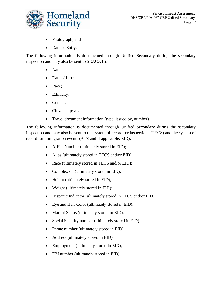

- Photograph; and
- Date of Entry.

The following information is documented through Unified Secondary during the secondary inspection and may also be sent to SEACATS:

- Name;
- Date of birth;
- Race;
- Ethnicity;
- Gender;
- Citizenship; and
- Travel document information (type, issued by, number).

The following information is documented through Unified Secondary during the secondary inspection and may also be sent to the system of record for inspections (TECS) and the system of record for immigration events (ATS and if applicable, EID):

- A-File Number (ultimately stored in EID);
- Alias (ultimately stored in TECS and/or EID);
- Race (ultimately stored in TECS and/or EID);
- Complexion (ultimately stored in EID);
- Height (ultimately stored in EID);
- Weight (ultimately stored in EID);
- Hispanic Indicator (ultimately stored in TECS and/or EID);
- Eye and Hair Color (ultimately stored in EID);
- Marital Status (ultimately stored in EID);
- Social Security number (ultimately stored in EID);
- Phone number (ultimately stored in EID);
- Address (ultimately stored in EID);
- Employment (ultimately stored in EID);
- FBI number (ultimately stored in EID);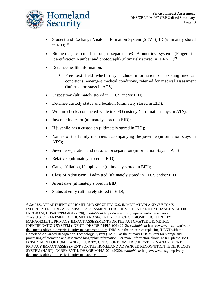

- Student and Exchange Visitor Information System (SEVIS) ID (ultimately stored in  $EID$ );<sup>18</sup>
- Biometrics, captured through separate e3 Biometrics system (Fingerprint Identification Number and photograph) (ultimately stored in IDENT);<sup>19</sup>
- Detainee health information:
	- Free text field which may include information on existing medical conditions, emergent medical conditions, referred for medical assessment (information stays in ATS);
- Disposition (ultimately stored in TECS and/or EID);
- Detainee custody status and location (ultimately stored in EID);
- Welfare checks conducted while in OFO custody (information stays in ATS);
- Juvenile Indicator (ultimately stored in EID);
- If juvenile has a custodian (ultimately stored in EID);
- Names of the family members accompanying the juvenile (information stays in ATS);
- Juvenile separation and reasons for separation (information stays in ATS);
- Relatives (ultimately stored in EID);
- Gang affiliation, if applicable (ultimately stored in EID);
- Class of Admission, if admitted (ultimately stored in TECS and/or EID);
- Arrest date (ultimately stored in EID);
- Status at entry (ultimately stored in EID);

<sup>18</sup> *See* U.S. DEPARTMENT OF HOMELAND SECURITY, U.S. IMMIGRATION AND CUSTOMS INFORCEMENT, PRIVACY IMPACT ASSESSMENT FOR THE STUDENT AND EXCHANGE VISITOR PROGRAM, DHS/ICE/PIA-001 (2020), *available at* [https://www.dhs.gov/privacy-documents-ice.](https://www.dhs.gov/privacy-documents-ice) <sup>19</sup> *See* U.S. DEPARTMENT OF HOMELAND SECURITY, OFFICE OF BIOMETRIC IDENTITY MANAGEMENT, PRIVACY IMPACT ASSESSMENT FOR THE AUTOMATED BIOMETRIC IDENTIFICATION SYSTEM (IDENT), DHS/OBIM/PIA-001 (2012), *available at* [https://www.dhs.gov/privacy](https://www.dhs.gov/privacy-documents-office-biometric-identity-management-obim)[documents-office-biometric-identity-management-obim.](https://www.dhs.gov/privacy-documents-office-biometric-identity-management-obim) DHS is in the process of replacing IDENT with the Homeland Advanced Recognition Technology System (HART) as the primary DHS system for storage and processing of biometric and associated biographic information. For more information about HART, please *see* U.S. DEPARTMENT OF HOMELAND SECURITY, OFFICE OF BIOMETRIC IDENTITY MANAGEMENT, PRIVACY IMPACT ASSESSMENT FOR THE HOMELAND ADVANCED RECOGNITION TECHNOLOGY SYSTEM (HART) INCREMENT 1, DHS/OBIM/PIA-004 (2020), *available at* [https://www.dhs.gov/privacy](https://www.dhs.gov/privacy-documents-office-biometric-identity-management-obim)[documents-office-biometric-identity-management-obim.](https://www.dhs.gov/privacy-documents-office-biometric-identity-management-obim)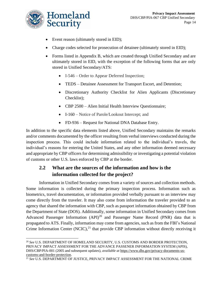

- Event reason (ultimately stored in EID);
- Charge codes selected for prosecution of detainee (ultimately stored in EID);
- Forms listed in Appendix B, which are created through Unified Secondary and are ultimately stored in EID, with the exception of the following forms that are only stored in Unified Secondary/ATS:
	- I-546 Order to Appear Deferred Inspection;
	- TEDS Detainee Assessment for Transport Escort, and Detention;
	- Discretionary Authority Checklist for Alien Applicants (Discretionary Checklist);
	- CBP 2500 Alien Initial Health Interview Questionnaire;
	- I-160 Notice of Parole/Lookout Intercept; and
	- FD-936 Request for National DNA Database Entry.

In addition to the specific data elements listed above, Unified Secondary maintains the remarks and/or comments documented by the officer resulting from verbal interviews conducted during the inspection process. This could include information related to the individual's travels, the individual's reasons for entering the United States, and any other information deemed necessary and appropriate by CBP officers for determining admissibility or investigating a potential violation of customs or other U.S. laws enforced by CBP at the border.

## **2.2 What are the sources of the information and how is the information collected for the project?**

Information in Unified Secondary comes from a variety of sources and collection methods. Some information is collected during the primary inspection process. Information such as biometrics, travel documentation, or information provided verbally pursuant to an interview may come directly from the traveler. It may also come from information the traveler provided to an agency that shared the information with CBP, such as passport information obtained by CBP from the Department of State (DOS). Additionally, some information in Unified Secondary comes from Advanced Passenger Information  $(API)^{20}$  and Passenger Name Record (PNR) data that is propagated to ATS. Finally, information may come from agencies, such as from the FBI's National Crime Information Center  $(NCIC),<sup>21</sup>$  that provide CBP information without directly receiving it

<sup>20</sup> *See* U.S. DEPARTMENT OF HOMELAND SECURITY, U.S. CUSTOMS AND BORDER PROTECTION, PRIVACY IMPACT ASSESSMENT FOR THE ADVANCE PASSENER INFORMATION SYSTEM (APIS), DHS/CBP/PIA-001 (2005 and subsequent updates), *available at* [https://www.dhs.gov/privacy-documents-us](https://www.dhs.gov/privacy-documents-us-customs-and-border-protection)[customs-and-border-protection.](https://www.dhs.gov/privacy-documents-us-customs-and-border-protection)

<sup>21</sup> *See* U.S. DEPARTMENT OF JUSTICE, PRIVACY IMPACT ASSESSMENT FOR THE NATIONAL CRIME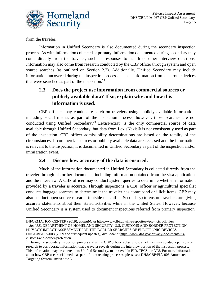

from the traveler.

Information in Unified Secondary is also documented during the secondary inspection process. As with information collected at primary, information documented during secondary may come directly from the traveler, such as responses to health or other interview questions. Information may also come from research conducted by the CBP officer through system and open source searches (as outlined on Section 2.3). Additionally, Unified Secondary may include information uncovered during the inspection process, such as information from electronic devices that were searched as part of the inspection. $^{22}$ 

## **2.3 Does the project use information from commercial sources or publicly available data? If so, explain why and how this information is used.**

CBP officers may conduct research on travelers using publicly available information, including social media, as part of the inspection process; however, those searches are not conducted using Unified Secondary.<sup>23</sup> LexisNexis® is the only commercial source of data available through Unified Secondary, but data from LexisNexis® is not consistently used as part of the inspection. CBP officer admissibility determinations are based on the totality of the circumstances. If commercial sources or publicly available data are accessed and the information is relevant to the inspection, it is documented in Unified Secondary as part of the inspection and/or immigration event.

#### **2.4 Discuss how accuracy of the data is ensured.**

Much of the information documented in Unified Secondary is collected directly from the traveler through his or her documents, including information obtained from the visa application, and the interview. A CBP officer may conduct system queries to determine whether information provided by a traveler is accurate. Through inspections, a CBP officer or agricultural specialist conducts baggage searches to determine if the traveler has contraband or illicit items. CBP may also conduct open source research (outside of Unified Secondary) to ensure travelers are giving accurate statements about their stated activities while in the United States. However, because Unified Secondary is a system used to document inspections referred from primary inspection,

INFORMATION CENTER (2019), *available at* [https://www.fbi.gov/file-repository/pia-ncic.pdf/view.](https://www.fbi.gov/file-repository/pia-ncic.pdf/view) <sup>22</sup> *See* U.S. DEPARTMENT OF HOMELAND SECURITY, U.S. CUSTOMS AND BORDER PROTECTION, PRIVACY IMPACT ASSESSMENT FOR THE BORDER SEARCHES OF ELECTRONIC DEVICES, DHS/CBP/PIA-008 (2009 and subsequent updates), *available at* [https://www.dhs.gov/privacy-documents-us](https://www.dhs.gov/privacy-documents-us-customs-and-border-protection)[customs-and-border-protection.](https://www.dhs.gov/privacy-documents-us-customs-and-border-protection)

<sup>&</sup>lt;sup>23</sup> During the secondary inspection process and at the CBP officer's discretion, an officer may conduct open source research to corroborate information that a traveler reveals during the interview portion of the inspection process. This information may be entered into Unified Secondary, to be saved in EID, TECS, or ATS. For more information about how CBP uses social media as part of its screening processes, please *see* DHS/CBP/PIA-006 Automated Targeting System, *supra* note 3.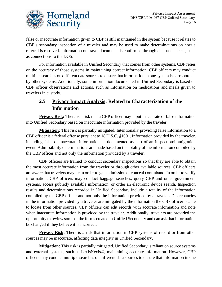

false or inaccurate information given to CBP is still maintained in the system because it relates to CBP's secondary inspection of a traveler and may be used to make determinations on how a referral is resolved. Information on travel documents is confirmed through database checks, such as connections to the DOS.

For information available in Unified Secondary that comes from other systems, CBP relies on the accuracy of those systems in maintaining correct information. CBP officers may conduct multiple searches on different data sources to ensure that information in one system is corroborated by other systems. Additionally, some information documented in Unified Secondary is based on CBP officer observations and actions, such as information on medications and meals given to travelers in custody.

## **2.5 Privacy Impact Analysis: Related to Characterization of the Information**

**Privacy Risk:** There is a risk that a CBP officer may input inaccurate or false information into Unified Secondary based on inaccurate information provided by the traveler.

**Mitigation:** This risk is partially mitigated. Intentionally providing false information to a CBP officer is a federal offense pursuant to 18 U.S.C. §1001. Information provided by the traveler, including false or inaccurate information, is documented as part of an inspection/immigration event. Admissibility determinations are made based on the totality of the information compiled by the CBP officer and not only the information provided by a traveler.

CBP officers are trained to conduct secondary inspections so that they are able to obtain the most accurate information from the traveler or through other available sources. CBP officers are aware that travelers may lie in order to gain admission or conceal contraband. In order to verify information, CBP officers may conduct baggage searches, query CBP and other government systems, access publicly available information, or order an electronic device search. Inspection results and determinations recorded in Unified Secondary include a totality of the information compiled by the CBP officer and not only the information provided by a traveler. Discrepancies in the information provided by a traveler are mitigated by the information the CBP officer is able to locate from other sources. CBP officers can edit records with accurate information and note when inaccurate information is provided by the traveler. Additionally, travelers are provided the opportunity to review some of the forms created in Unified Secondary and can ask that information be changed if they believe it is incorrect.

**Privacy Risk:** There is a risk that information in CBP systems of record or from other sources may be inaccurate, affecting data integrity in Unified Secondary.

**Mitigation:** This risk is partially mitigated. Unified Secondary is reliant on source systems and external systems, such as LexisNexis®, maintaining accurate information. However, CBP officers may conduct multiple searches on different data sources to ensure that information in one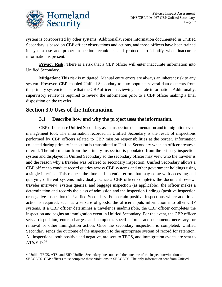

system is corroborated by other systems. Additionally, some information documented in Unified Secondary is based on CBP officer observations and actions, and those officers have been trained in system use and proper inspection techniques and protocols to identify when inaccurate information is present.

**Privacy Risk:** There is a risk that a CBP officer will enter inaccurate information into Unified Secondary.

**Mitigation:** This risk is mitigated. Manual entry errors are always an inherent risk to any system. However, CBP enabled Unified Secondary to auto populate several data elements from the primary system to ensure that the CBP officer is reviewing accurate information. Additionally, supervisory review is required to review the information prior to a CBP officer making a final disposition on the traveler.

## **Section 3.0 Uses of the Information**

#### **3.1 Describe how and why the project uses the information.**

CBP officers use Unified Secondary as an inspection documentation and immigration event management tool. The information recorded in Unified Secondary is the result of inspections performed by CBP officers related to CBP mission responsibilities at the border. Information collected during primary inspection is transmitted to Unified Secondary when an officer creates a referral. The information from the primary inspection is populated from the primary inspection system and displayed in Unified Secondary so the secondary officer may view who the traveler is and the reason why a traveler was referred to secondary inspection. Unified Secondary allows a CBP officer to conduct record queries across CBP systems and other government holdings using a single interface. This reduces the time and potential errors that may come with accessing and querying different systems individually. Once a CBP officer completes the document review, traveler interview, system queries, and baggage inspection (as applicable), the officer makes a determination and records the class of admission and the inspection findings (positive inspection or negative inspection) in Unified Secondary. For certain positive inspections where additional action is required, such as a seizure of goods, the officer inputs information into other CBP systems. If a CBP officer determines a traveler is inadmissible, the CBP officer completes the inspection and begins an immigration event in Unified Secondary. For the event, the CBP officer sets a disposition, enters charges, and completes specific forms and documents necessary for removal or other immigration action. Once the secondary inspection is completed, Unified Secondary sends the outcome of the inspection to the appropriate system of record for retention. All inspections, both positive and negative, are sent to TECS, and immigration events are sent to ATS/EID.<sup>24</sup>

<sup>&</sup>lt;sup>24</sup> Unlike TECS, ATS, and EID, Unified Secondary does not send the outcome of the inspection/violation to SEACATS. CBP officers must complete these violations in SEACATS. The only information sent from Unified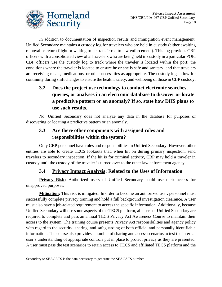

In addition to documentation of inspection results and immigration event management, Unified Secondary maintains a custody log for travelers who are held in custody (either awaiting removal or return flight or waiting to be transferred to law enforcement). This log provides CBP officers with a consolidated view of all travelers who are being held in custody in a particular POE. CBP officers use the custody log to track where the traveler is located within the port; the conditions where the traveler is located to ensure he or she is safe and sanitary; and that travelers are receiving meals, medications, or other necessities as appropriate. The custody logs allow for continuity during shift changes to ensure the health, safety, and wellbeing of those in CBP custody.

## **3.2 Does the project use technology to conduct electronic searches, queries, or analyses in an electronic database to discover or locate a predictive pattern or an anomaly? If so, state how DHS plans to use such results.**

No. Unified Secondary does not analyze any data in the database for purposes of discovering or locating a predictive pattern or an anomaly.

## **3.3 Are there other components with assigned roles and responsibilities within the system?**

Only CBP personnel have roles and responsibilities in Unified Secondary. However, other entities are able to create TECS lookouts that, when hit on during primary inspection, send travelers to secondary inspection. If the hit is for criminal activity, CBP may hold a traveler in custody until the custody of the traveler is turned over to the other law enforcement agency.

## **3.4 Privacy Impact Analysis: Related to the Uses of Information**

**Privacy Risk:** Authorized users of Unified Secondary could use their access for unapproved purposes.

**Mitigation:** This risk is mitigated. In order to become an authorized user, personnel must successfully complete privacy training and hold a full background investigation clearance. A user must also have a job-related requirement to access the specific information. Additionally, because Unified Secondary will use some aspects of the TECS platform, all users of Unified Secondary are required to complete and pass an annual TECS Privacy Act Awareness Course to maintain their access to the system. The training course presents Privacy Act responsibilities and agency policy with regard to the security, sharing, and safeguarding of both official and personally identifiable information. The course also provides a number of sharing and access scenarios to test the internal user's understanding of appropriate controls put in place to protect privacy as they are presented. A user must pass the test scenarios to retain access to TECS and affiliated TECS platform and the

Secondary to SEACATS is the data necessary to generate the SEACATS number.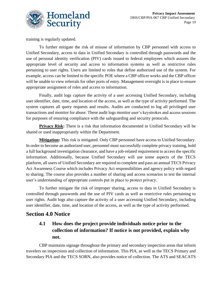

training is regularly updated.

To further mitigate the risk of misuse of information by CBP personnel with access to Unified Secondary, access to data in Unified Secondary is controlled through passwords and the use of personal identity verification (PIV) cards issued to federal employees which assures the appropriate level of security and access to information systems as well as restrictive rules pertaining to user rights. Users are limited to roles that define authorized use of the system. For example, access can be limited to the specific POE where a CBP officer works and the CBP officer will be unable to view referrals for other ports of entry. Management oversight is in place to ensure appropriate assignment of roles and access to information.

Finally, audit logs capture the activity of a user accessing Unified Secondary, including user identifier, date, time, and location of the access, as well as the type of activity performed. The system captures all query requests and results. Audits are conducted to log all privileged user transactions and monitor for abuse. These audit logs monitor user's keystrokes and access sessions for purposes of ensuring compliance with the safeguarding and security protocols.

**Privacy Risk:** There is a risk that information documented in Unified Secondary will be shared or used inappropriately within the Department.

**Mitigation:** This risk is mitigated. Only CBP personnel have access to Unified Secondary. In order to become an authorized user, personnel must successfully complete privacy training, hold a full background investigation clearance, and have a job-related requirement to access the specific information. Additionally, because Unified Secondary will use some aspects of the TECS platform, all users of Unified Secondary are required to complete and pass an annual TECS Privacy Act Awareness Course which includes Privacy Act responsibilities and agency policy with regard to sharing. The course also provides a number of sharing and access scenarios to test the internal user's understanding of appropriate controls put in place to protect privacy.

To further mitigate the risk of improper sharing, access to data in Unified Secondary is controlled through passwords and the use of PIV cards as well as restrictive rules pertaining to user rights. Audit logs also capture the activity of a user accessing Unified Secondary, including user identifier, date, time, and location of the access, as well as the type of activity performed.

## **Section 4.0 Notice**

## **4.1 How does the project provide individuals notice prior to the collection of information? If notice is not provided, explain why not.**

CBP maintains signage throughout the primary and secondary inspection areas that inform travelers on inspections and collection of information. This PIA, as well as the TECS Primary and Secondary PIA and the TECS SORN, also provides notice of collection. The ATS and SEACATS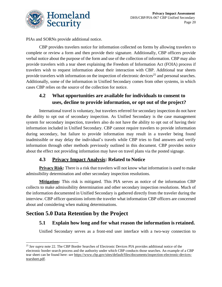

PIAs and SORNs provide additional notice.

CBP provides travelers notice for information collected on forms by allowing travelers to complete or review a form and then provide their signature. Additionally, CBP officers provide verbal notice about the purpose of the form and use of the collection of information. CBP may also provide travelers with a tear sheet explaining the Freedom of Information Act (FOIA) process if travelers wish to request information about their interaction with CBP. Additional tear sheets provide travelers with information on the inspection of electronic devices<sup>25</sup> and personal searches. Additionally, some of the information in Unified Secondary comes from other systems, in which cases CBP relies on the source of the collection for notice.

## **4.2 What opportunities are available for individuals to consent to uses, decline to provide information, or opt out of the project?**

International travel is voluntary, but travelers referred for secondary inspection do not have the ability to opt out of secondary inspection. As Unified Secondary is the case management system for secondary inspection, travelers also do not have the ability to opt out of having their information included in Unified Secondary. CBP cannot require travelers to provide information during secondary, but failure to provide information may result in a traveler being found inadmissible or may delay the individual's travels while CBP tries to find answers and verify information through other methods previously outlined in this document. CBP provides notice about the effect not providing information may have on travel plans via the posted signage.

#### **4.3 Privacy Impact Analysis: Related to Notice**

**Privacy Risk:** There is a risk that travelers will not know what information is used to make admissibility determination and other secondary inspection resolutions.

**Mitigation:** This risk is mitigated. This PIA serves as notice of the information CBP collects to make admissibility determination and other secondary inspection resolutions. Much of the information documented in Unified Secondary is gathered directly from the traveler during the interview. CBP officer questions inform the traveler what information CBP officers are concerned about and considering when making determinations.

## **Section 5.0 Data Retention by the Project**

## **5.1 Explain how long and for what reason the information is retained.**

Unified Secondary serves as a front-end user interface with a two-way connection to

<sup>&</sup>lt;sup>25</sup> See supra note 22. The CBP Border Searches of Electronic Devices PIA provides additional notice of the electronic border search process and the authority under which CBP conducts those searches. An example of a CBP tear sheet can be found here: *see* [https://www.cbp.gov/sites/default/files/documents/inspection-electronic-devices](https://www.cbp.gov/sites/default/files/documents/inspection-electronic-devices-tearsheet.pdf)[tearsheet.pdf.](https://www.cbp.gov/sites/default/files/documents/inspection-electronic-devices-tearsheet.pdf)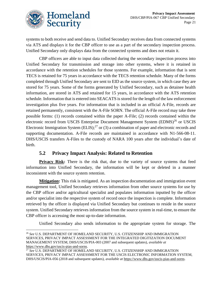

systems to both receive and send data to. Unified Secondary receives data from connected systems via ATS and displays it for the CBP officer to use as a part of the secondary inspection process. Unified Secondary only displays data from the connected systems and does not retain it.

CBP officers are able to input data collected during the secondary inspection process into Unified Secondary for transmission and storage into other systems, where it is retained in accordance with the retention schedules for those systems. For example, information that is sent TECS is retained for 75 years in accordance with the TECS retention schedule. Many of the forms completed through Unified Secondary are sent to EID as the source system, in which case they are stored for 75 years. Some of the forms generated by Unified Secondary, such as detainee health information, are stored in ATS and retained for 15 years, in accordance with the ATS retention schedule. Information that is entered into SEACATS is stored for the length of the law enforcement investigation plus five years. For information that is included in an official A-File, records are retained permanently, consistent with the A-File SORN. The official A-File record may take three possible forms: (1) records contained within the paper A-File; (2) records contained within the electronic record from USCIS Enterprise Document Management System (EDMS)<sup>26</sup> or USCIS Electronic Immigration System (ELIS);<sup>27</sup> or (3) a combination of paper and electronic records and supporting documentation. A-File records are maintained in accordance with N1-566-08-11. DHS/USCIS transfers A-Files to the custody of NARA 100 years after the individual's date of birth.

#### **5.2 Privacy Impact Analysis: Related to Retention**

**Privacy Risk:** There is the risk that, due to the variety of source systems that feed information into Unified Secondary, the information will be kept or deleted in a manner inconsistent with the source system retention.

**Mitigation:** This risk is mitigated. As an inspection documentation and immigration event management tool, Unified Secondary retrieves information from other source systems for use by the CBP officer and/or agricultural specialist and populates information inputted by the officer and/or specialist into the respective system of record once the inspection is complete. Information retrieved by the officer is displayed via Unified Secondary but continues to reside in the source system. Unified Secondary retrieves information from the source system in real-time, to ensure the CBP officer is accessing the most up-to-date information.

Unified Secondary also sends information to the appropriate system for storage. The

<sup>26</sup> *See* U.S. DEPARTMENT OF HOMELAND SECURITY, U.S. CITIZENSHIP AND IMMIGRATION SERVICES, PRIVACY IMPACT ASSESSMENT FOR THE INTEGRATED DIGITIZATION DOCUMENT MANAGEMENT SYSTEM, DHS/USCIS/PIA-003 (2007 and subsequent updates), *available at* [https://www.dhs.gov/uscis-pias-and-sorns.](https://www.dhs.gov/uscis-pias-and-sorns)

<sup>27</sup> *See* U.S. DEPARTMENT OF HOMELAND SECURITY, U.S. CITIZENSHIP AND IMMIGRATION SERVICES, PRIVACY IMPACT ASSESSMENT FOR THE USCIS ELECTRONIC INFORMATION SYSTEM, DHS/USCIS/PIA-056 (2018 and subsequent updates), *available at* [https://www.dhs.gov/uscis-pias-and-sorns.](https://www.dhs.gov/uscis-pias-and-sorns)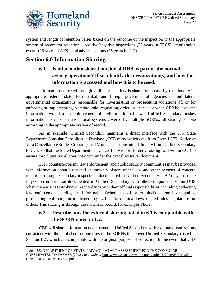

system and length of retention varies based on the outcome of the inspection to the appropriate system of record for retention – positive/negative inspections (75 years in TECS), immigration events (15 years in ATS), and adverse actions (75 years in EID).

# **Section 6.0 Information Sharing**

## **6.1 Is information shared outside of DHS as part of the normal agency operations? If so, identify the organization(s) and how the information is accessed and how it is to be used.**

Information collected through Unified Secondary is shared on a case-by-case basis with appropriate federal, state, local, tribal, and foreign governmental agencies or multilateral governmental organizations responsible for investigating or prosecuting violations of, or for enforcing or implementing, a statute, rule, regulation, order, or license, or when CBP believes the information would assist enforcement of civil or criminal laws. Unified Secondary pushes information to various transactional systems covered by multiple SORNs; all sharing is done according to the appropriate system of record.

As an example, Unified Secondary maintains a direct interface with the U.S. State Department Consular Consolidated Database (CCD)<sup>28</sup> by which data from Form I-275, Notice of Visa Cancellation/Border Crossing Card Voidance, is transmitted directly from Unified Secondary to CCD so that the State Department can cancel the Visa or Border Crossing card within CCD to ensure that future travel does not occur under the cancelled travel document.

DHS counterterrorism, law enforcement, and public security communities may be provided with information about suspected or known violators of the law and other persons of concern identified through secondary inspections documented in Unified Secondary. CBP may share the inspection information documented in Unified Secondary with other components within DHS when there is a need-to-know in accordance with their official responsibilities, including collecting law enforcement intelligence information (whether civil or criminal) and/or investigating, prosecuting, enforcing, or implementing civil and/or criminal laws, related rules, regulations, or orders. This sharing is through the system of record, for example TECS.

## **6.2 Describe how the external sharing noted in 6.1 is compatible with the SORN noted in 1.2.**

CBP will share information documented in Unified Secondary with external organizations consistent with the published routine uses in the SORNs that cover Unified Secondary (listed in Section 1.2), which are compatible with the original purpose of collection. In the event that CBP

<sup>28</sup> *See* U.S. DEPARTMENT OF STATE, PRIVACY IMPACT ASSESSMENT FOR THE CONSULAR CONSLIDATED DATABASE (2018), *available at* [https://www.state.gov/wp-content/uploads/2019/05/Consular-](https://www.state.gov/wp-content/uploads/2019/05/Consular-Consolidated-Database-CCD.pdf)[Consolidated-Database-CCD.pdf.](https://www.state.gov/wp-content/uploads/2019/05/Consular-Consolidated-Database-CCD.pdf)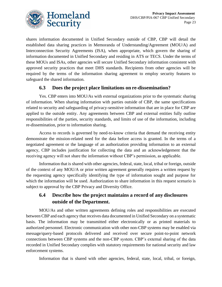

shares information documented in Unified Secondary outside of CBP, CBP will detail the established data sharing practices in Memoranda of Understanding/Agreement (MOU/A) and Interconnection Security Agreements (ISA), when appropriate, which govern the sharing of information documented in Unified Secondary and residing in ATS or TECS. Under the terms of these MOUs and ISAs, other agencies will secure Unified Secondary information consistent with approved security practices that meet DHS standards. Recipients from other agencies will be required by the terms of the information sharing agreement to employ security features to safeguard the shared information.

#### **6.3 Does the project place limitations on re-dissemination?**

Yes. CBP enters into MOU/As with external organizations prior to the systematic sharing of information. When sharing information with parties outside of CBP, the same specifications related to security and safeguarding of privacy-sensitive information that are in place for CBP are applied to the outside entity. Any agreements between CBP and external entities fully outline responsibilities of the parties, security standards, and limits of use of the information, including re-dissemination, prior to information sharing.

Access to records is governed by need-to-know criteria that demand the receiving entity demonstrate the mission-related need for the data before access is granted. In the terms of a negotiated agreement or the language of an authorization providing information to an external agency, CBP includes justification for collecting the data and an acknowledgement that the receiving agency will not share the information without CBP's permission, as applicable.

Information that is shared with other agencies, federal, state, local, tribal or foreign, outside of the context of any MOU/A or prior written agreement generally requires a written request by the requesting agency specifically identifying the type of information sought and purpose for which the information will be used. Authorization to share information in this request scenario is subject to approval by the CBP Privacy and Diversity Office.

## **6.4 Describe how the project maintains a record of any disclosures outside of the Department.**

MOU/As and other written agreements defining roles and responsibilities are executed between CBP and each agency that receives data documented in Unified Secondary on a systematic basis. The information may be transmitted either electronically or as printed materials to authorized personnel. Electronic communication with other non-CBP systems may be enabled via message/query-based protocols delivered and received over secure point-to-point network connections between CBP systems and the non-CBP system. CBP's external sharing of the data recorded in Unified Secondary complies with statutory requirements for national security and law enforcement systems.

Information that is shared with other agencies, federal, state, local, tribal, or foreign,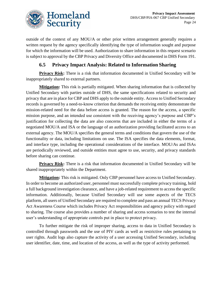

outside of the context of any MOU/A or other prior written arrangement generally requires a written request by the agency specifically identifying the type of information sought and purpose for which the information will be used. Authorization to share information in this request scenario is subject to approval by the CBP Privacy and Diversity Office and documented in DHS Form 191.

#### **6.5 Privacy Impact Analysis: Related to Information Sharing**

**Privacy Risk:** There is a risk that information documented in Unified Secondary will be inappropriately shared to external partners.

**Mitigation:** This risk is partially mitigated. When sharing information that is collected by Unified Secondary with parties outside of DHS, the same specifications related to security and privacy that are in place for CBP and DHS apply to the outside entity. Access to Unified Secondary records is governed by a need-to-know criterion that demands the receiving entity demonstrate the mission-related need for the data before access is granted. The reason for the access, a specific mission purpose, and an intended use consistent with the receiving agency's purpose and CBP's justification for collecting the data are also concerns that are included in either the terms of a negotiated MOU/A and ISA or the language of an authorization providing facilitated access to an external agency. The MOU/A specifies the general terms and conditions that govern the use of the functionality or data, including limitations on use. The ISA specifies the data elements, format, and interface type, including the operational considerations of the interface. MOU/As and ISAs are periodically reviewed, and outside entities must agree to use, security, and privacy standards before sharing can continue.

**Privacy Risk:** There is a risk that information documented in Unified Secondary will be shared inappropriately within the Department.

**Mitigation:** This risk is mitigated. Only CBP personnel have access to Unified Secondary. In order to become an authorized user, personnel must successfully complete privacy training, hold a full background investigation clearance, and have a job-related requirement to access the specific information. Additionally, because Unified Secondary will use some aspects of the TECS platform, all users of Unified Secondary are required to complete and pass an annual TECS Privacy Act Awareness Course which includes Privacy Act responsibilities and agency policy with regard to sharing. The course also provides a number of sharing and access scenarios to test the internal user's understanding of appropriate controls put in place to protect privacy.

To further mitigate the risk of improper sharing, access to data in Unified Secondary is controlled through passwords and the use of PIV cards as well as restrictive rules pertaining to user rights. Audit logs also capture the activity of a user accessing Unified Secondary, including user identifier, date, time, and location of the access, as well as the type of activity performed.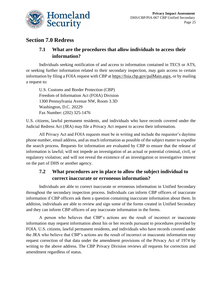

## **Section 7.0 Redress**

## **7.1 What are the procedures that allow individuals to access their information?**

Individuals seeking notification of and access to information contained in TECS or ATS, or seeking further information related to their secondary inspection, may gain access to certain information by filing a FOIA request with CBP at [https://foia.cbp.gov/palMain.aspx,](https://foia.cbp.gov/palMain.aspx) or by mailing a request to:

U.S. Customs and Border Protection (CBP) Freedom of Information Act (FOIA) Division 1300 Pennsylvania Avenue NW, Room 3.3D Washington, D.C. 20229 Fax Number: (202) 325-1476

U.S. citizens, lawful permanent residents, and individuals who have records covered under the Judicial Redress Act (JRA) may file a Privacy Act request to access their information.

All Privacy Act and FOIA requests must be in writing and include the requestor's daytime phone number, email address, and as much information as possible of the subject matter to expedite the search process. Requests for information are evaluated by CBP to ensure that the release of information is lawful; will not impede an investigation of an actual or potential criminal, civil, or regulatory violation; and will not reveal the existence of an investigation or investigative interest on the part of DHS or another agency.

## **7.2 What procedures are in place to allow the subject individual to correct inaccurate or erroneous information?**

Individuals are able to correct inaccurate or erroneous information in Unified Secondary throughout the secondary inspection process. Individuals can inform CBP officers of inaccurate information if CBP officers ask them a question containing inaccurate information about them. In addition, individuals are able to review and sign some of the forms created in Unified Secondary and they can inform CBP officers of any inaccurate information in the forms.

A person who believes that CBP's actions are the result of incorrect or inaccurate information may request information about his or her records pursuant to procedures provided by FOIA. U.S. citizens, lawful permanent residents, and individuals who have records covered under the JRA who believe that CBP's actions are the result of incorrect or inaccurate information may request correction of that data under the amendment provisions of the Privacy Act of 1974 by writing to the above address. The CBP Privacy Division reviews all requests for correction and amendment regardless of status.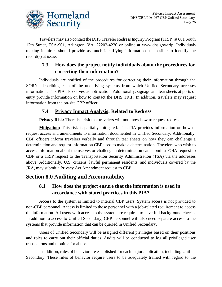

Travelers may also contact the DHS Traveler Redress Inquiry Program (TRIP) at 601 South 12th Street, TSA-901, Arlington, VA, 22202-4220 or online at [www.dhs.gov/trip.](http://www.dhs.gov/trip) Individuals making inquiries should provide as much identifying information as possible to identify the record(s) at issue.

## **7.3 How does the project notify individuals about the procedures for correcting their information?**

Individuals are notified of the procedures for correcting their information through the SORNs describing each of the underlying systems from which Unified Secondary accesses information. This PIA also serves as notification. Additionally, signage and tear sheets at ports of entry provide information on how to contact the DHS TRIP. In addition, travelers may request information from the on-site CBP officer.

## **7.4 Privacy Impact Analysis: Related to Redress**

**Privacy Risk:** There is a risk that travelers will not know how to request redress.

**Mitigation:** This risk is partially mitigated. This PIA provides information on how to request access and amendments to information documented in Unified Secondary. Additionally, CBP officers inform travelers verbally and through tear sheets on how they can challenge a determination and request information CBP used to make a determination. Travelers who wish to access information about themselves or challenge a determination can submit a FOIA request to CBP or a TRIP request to the Transportation Security Administration (TSA) via the addresses above. Additionally, U.S. citizens, lawful permanent residents, and individuals covered by the JRA, may submit a Privacy Act Amendment request to CBP.

# **Section 8.0 Auditing and Accountability**

## **8.1 How does the project ensure that the information is used in accordance with stated practices in this PIA?**

Access to the system is limited to internal CBP users. System access is not provided to non-CBP personnel. Access is limited to those personnel with a job-related requirement to access the information. All users with access to the system are required to have full background checks. In addition to access to Unified Secondary, CBP personnel will also need separate access to the systems that provide information that can be queried in Unified Secondary.

Users of Unified Secondary will be assigned different privileges based on their positions and roles to carry out their official duties. Audits will be conducted to log all privileged user transactions and monitor for abuse.

In addition, rules of behavior are established for each major application, including Unified Secondary. These rules of behavior require users to be adequately trained with regard to the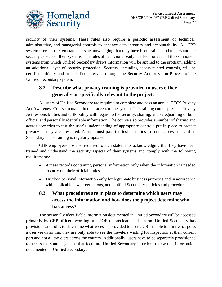

security of their systems. These rules also require a periodic assessment of technical, administrative, and managerial controls to enhance data integrity and accountability. All CBP system users must sign statements acknowledging that they have been trained and understand the security aspects of their systems. The rules of behavior already in effect for each of the component systems from which Unified Secondary draws information will be applied to the program, adding an additional layer of security protection. Security, including access-related controls, will be certified initially and at specified intervals through the Security Authorization Process of the Unified Secondary system.

## **8.2 Describe what privacy training is provided to users either generally or specifically relevant to the project.**

All users of Unified Secondary are required to complete and pass an annual TECS Privacy Act Awareness Course to maintain their access to the system. The training course presents Privacy Act responsibilities and CBP policy with regard to the security, sharing, and safeguarding of both official and personally identifiable information. The course also provides a number of sharing and access scenarios to test the user's understanding of appropriate controls put in place to protect privacy as they are presented. A user must pass the test scenarios to retain access to Unified Secondary. This training is regularly updated.

CBP employees are also required to sign statements acknowledging that they have been trained and understand the security aspects of their systems and comply with the following requirements:

- Access records containing personal information only when the information is needed to carry out their official duties.
- Disclose personal information only for legitimate business purposes and in accordance with applicable laws, regulations, and Unified Secondary policies and procedures.

## **8.3 What procedures are in place to determine which users may access the information and how does the project determine who has access?**

The personally identifiable information documented in Unified Secondary will be accessed primarily by CBP officers working at a POE or preclearance location. Unified Secondary has provisions and roles to determine what access is provided to users. CBP is able to limit what ports a user views so that they are only able to see the travelers waiting for inspection at their current port and not all travelers across the country. Additionally, users have to be separately provisioned to access the source systems that feed into Unified Secondary in order to view that information documented in Unified Secondary.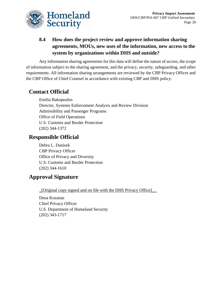

## **8.4 How does the project review and approve information sharing agreements, MOUs, new uses of the information, new access to the system by organizations within DHS and outside?**

Any information sharing agreements for this data will define the nature of access, the scope of information subject to the sharing agreement, and the privacy, security, safeguarding, and other requirements. All information sharing arrangements are reviewed by the CBP Privacy Officer and the CBP Office of Chief Counsel in accordance with existing CBP and DHS policy.

# **Contact Official**

Emilia Bakopoulos Director, Systems Enforcement Analysis and Review Division Admissibility and Passenger Programs Office of Field Operations U.S. Customs and Border Protection (202) 344-1372

# **Responsible Official**

Debra L. Danisek CBP Privacy Officer Office of Privacy and Diversity U.S. Customs and Border Protection (202) 344-1610

# **Approval Signature**

\_[Original copy signed and on file with the DHS Privacy Office]\_\_

Dena Kozanas Chief Privacy Officer U.S. Department of Homeland Security (202) 343-1717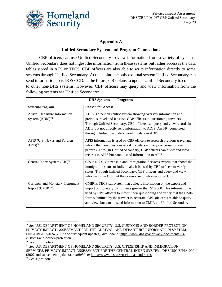

#### **Appendix A**

#### **Unified Secondary System and Program Connections**

CBP officers can use Unified Secondary to view information from a variety of systems. Unified Secondary does not ingest the information from these systems but rather accesses the data tables stored in ATS or TECS. CBP officers are also able to write information directly to some systems through Unified Secondary. At this point, the only external system Unified Secondary can send information to is DOS CCD. In the future, CBP plans to update Unified Secondary to connect to other non-DHS systems. However, CBP officers may query and view information from the following systems via Unified Secondary:

| <b>DHS Systems and Programs</b>                          |                                                                                                                                                                                                                                                                                                                                                                                    |  |
|----------------------------------------------------------|------------------------------------------------------------------------------------------------------------------------------------------------------------------------------------------------------------------------------------------------------------------------------------------------------------------------------------------------------------------------------------|--|
| <b>System/Program</b>                                    | <b>Reason for Access</b>                                                                                                                                                                                                                                                                                                                                                           |  |
| Arrival Departure Information<br>System $(ADIS)^{29}$    | ADIS is a person centric system showing overstay information and<br>previous travel and it assists CBP officers in questioning travelers.<br>Through Unified Secondary, CBP officers can query and view records in<br>ADIS but not directly send information to ADIS. An I-94 completed<br>through Unified Secondary would update in ADIS.                                         |  |
| APIS (U.S. Nexus and Foreign<br>$APIS)^{30}$             | APIS information is used by CBP officers to research previous travel and<br>inform them on questions to ask travelers and any concerning travel<br>patterns. Through Unified Secondary, CBP officers can query and view<br>records in APIS but cannot send information to APIS.                                                                                                    |  |
| Central Index System $(CIS)^{31}$                        | CIS is a U.S. Citizenship and Immigration Services system that shows the<br>immigration status of individuals. It is used by CBP officers to verify<br>status. Through Unified Secondary, CBP officers and query and view<br>information in CIS, but they cannot send information to CIS.                                                                                          |  |
| Currency and Monetary Instrument<br>Report $(CMIR)^{32}$ | CMIR is TECS subsystem that collects information on the export and<br>import of monetary instruments greater than \$10,000. This information is<br>used by CBP officers to inform their questioning and verify that the CMIR<br>form submitted by the traveler is accurate. CBP officers are able to query<br>and view, but cannot send information to CMIR via Unified Secondary. |  |

<sup>30</sup> *See supra* note 20.

<sup>31</sup> *See* U.S. DEPARTMENT OF HOMELAND SECURITY, U.S. CITIZENSHIP AND IMMIGRATION SERVICES, PRIVACY IMPACT ASSESSMENT FOR THE CENTRAL INDEX SYSTEM, DHS/USCIS/PIA-009 (2007 and subsequent updates), *available at* [https://www.dhs.gov/uscis-pias-and-sorns.](https://www.dhs.gov/uscis-pias-and-sorns)

<sup>32</sup> *See supra* note 2.

<sup>29</sup> *See* U.S. DEPARTMENT OF HOMELAND SECURITY, U.S. CUSTOMS AND BORDER PROTECTION, PRIVACY IMPACT ASSESSMENT FOR THE ARRIVAL AND DEPARTURE INFORMATION SYSTEM, DHS/CBP/PIA-024 (2007 and subsequent updates), *available at* [https://www.dhs.gov/privacy-documents-us](https://www.dhs.gov/privacy-documents-us-customs-and-border-protection)[customs-and-border-protection.](https://www.dhs.gov/privacy-documents-us-customs-and-border-protection)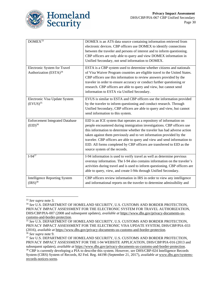

| DOMEX <sup>33</sup>                                                | DOMEX is an ATS data source containing information retrieved from<br>electronic devices. CBP officers use DOMEX to identify connections<br>between the traveler and persons of interest and to inform questioning.<br>CBP officers are only able to query and view DOMEX information in<br>Unified Secondary, not send information to DOMEX.                                                                                                                                                |
|--------------------------------------------------------------------|---------------------------------------------------------------------------------------------------------------------------------------------------------------------------------------------------------------------------------------------------------------------------------------------------------------------------------------------------------------------------------------------------------------------------------------------------------------------------------------------|
| Electronic System for Travel<br>Authorization (ESTA) <sup>34</sup> | ESTA is a CBP system used to determine whether citizens and nationals<br>of Visa Waiver Program countries are eligible travel to the United States.<br>CBP officers use this information to review answers provided by the<br>traveler in order to ensure accuracy or conduct further questioning or<br>research. CBP officers are able to query and view, but cannot send<br>information to ESTA via Unified Secondary.                                                                    |
| Electronic Visa Update System<br>$(EVUS)^{35}$                     | EVUS is similar to ESTA and CBP officers use the information provided<br>by the traveler to inform questioning and conduct research. Through<br>Unified Secondary, CBP officers are able to query and view, but cannot<br>send information to this system.                                                                                                                                                                                                                                  |
| <b>Enforcement Integrated Database</b><br>$(EID)^{36}$             | EID is an ICE system that operates as a repository of information on<br>people encountered during immigration investigations. CBP officers use<br>this information to determine whether the traveler has had adverse action<br>taken against them previously and to vet information provided by the<br>traveler. CBP officers are able to query and view and send information to<br>EID. All forms completed by CBP officers are transferred to EID as the<br>source system of the records. |
| $I-94^{37}$                                                        | I-94 information is used to verify travel as well as determine previous<br>overstay information. The I-94 also contains information on the traveler's<br>activities during travel and is used to inform questioning. CBP officers are<br>able to query, view, and create I-94s through Unified Secondary.                                                                                                                                                                                   |
| <b>Intelligence Reporting System</b><br>$(IRS)^{38}$               | CBP officers review information in IRS in order to view any intelligence<br>and informational reports on the traveler to determine admissibility and                                                                                                                                                                                                                                                                                                                                        |

<sup>33</sup> *See supra* note 3.

<sup>34</sup> *See* U.S. DEPARTMENT OF HOMELAND SECURITY, U.S. CUSTOMS AND BORDER PROTECTION, PRIVACY IMPACT ASSESSMENT FOR THE ELECTRONIC SYSTEM FOR TRAVEL AUTHORIZATION, DHS/CBP/PIA-007 (2008 and subsequent updates), *available at* [https://www.dhs.gov/privacy-documents-us](https://www.dhs.gov/privacy-documents-us-customs-and-border-protection)[customs-and-border-protection.](https://www.dhs.gov/privacy-documents-us-customs-and-border-protection)

<sup>35</sup> *See* U.S. DEPARTMENT OF HOMELAND SECURITY, U.S. CUSTOMS AND BORDER PROTECTION, PRIVACY IMPACT ASSESSMENT FOR THE ELECTRONIC VISA UPDATE SYSTEM, DHS/CBP/PIA-033 (2016), *available at* [https://www.dhs.gov/privacy-documents-us-customs-and-border-protection.](https://www.dhs.gov/privacy-documents-us-customs-and-border-protection) <sup>36</sup> *See supra* note 9.

<sup>37</sup> *See* U.S. DEPARTMENT OF HOMELAND SECURITY, U.S. CUSTOMS AND BORDER PROTECTION, PRIVACY IMPACT ASSESSMENT FOR THE I-94 WEBSITE APPLICATION, DHS/CBP/PIA-016 (2013 and subsequent updates), *available at* [https://www.dhs.gov/privacy-documents-us-customs-and-border-protection.](https://www.dhs.gov/privacy-documents-us-customs-and-border-protection)

<sup>38</sup> CBP is currently developing a PIA to describe this system. However, *see* DHS/CBP-024 Intelligence Records System (CIRS) System of Records, 82 Fed. Reg. 44198 (September 21, 2017), *available at* [www.dhs.gov/systems](file://///dhsnet.ds1.dhs/osem_shares/PRIV/Privacy%20Office/Compliance/PIA/CBP/DHS-CBP-PIA-XXX%20Unified%20Secondary/www.dhs.gov/systems-records-notices-sorns)[records-notices-sorns.](file://///dhsnet.ds1.dhs/osem_shares/PRIV/Privacy%20Office/Compliance/PIA/CBP/DHS-CBP-PIA-XXX%20Unified%20Secondary/www.dhs.gov/systems-records-notices-sorns)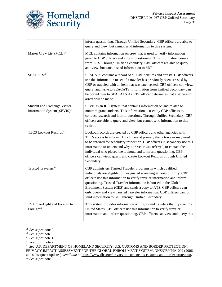

|                                                                          | inform questioning. Through Unified Secondary, CBP officers are able to<br>query and view, but cannot send information to this system.                                                                                                                                                                                                                                                                                                                                                      |
|--------------------------------------------------------------------------|---------------------------------------------------------------------------------------------------------------------------------------------------------------------------------------------------------------------------------------------------------------------------------------------------------------------------------------------------------------------------------------------------------------------------------------------------------------------------------------------|
| Master Crew List (MCL) <sup>39</sup>                                     | MCL contains information on crew that is used to verify information<br>given to CBP officers and inform questioning. This information comes<br>from ATS. Through Unified Secondary, CBP officers are able to query<br>and view, but cannot send information to MCL.                                                                                                                                                                                                                         |
| SEACATS <sup>40</sup>                                                    | SEACATS contains a record of all CBP seizures and arrests. CBP officers<br>use this information to see if a traveler has previously been arrested by<br>CBP or traveled with an item that was later seized. CBP officers can view,<br>query, and write to SEACATS. Information from Unified Secondary can<br>be ported over to SEACATS if a CBP officer determines that a seizure or<br>arrest will be made.                                                                                |
| Student and Exchange Visitor<br>Information System (SEVIS) <sup>41</sup> | SEVIS is an ICE system that contains information on and related to<br>nonimmigrant students. This information is used by CBP officers to<br>conduct research and inform questions. Through Unified Secondary, CBP<br>officers are able to query and view, but cannot send information to this<br>system.                                                                                                                                                                                    |
| <b>TECS Lookout Records</b> <sup>42</sup>                                | Lookout records are created by CBP officers and other agencies with<br>TECS access to inform CBP officers at primary that a traveler may need<br>to be referred for secondary inspection. CBP officers in secondary use this<br>information to understand why a traveler was referred, to contact the<br>individual who placed the lookout, and to inform questioning. CBP<br>officers can view, query, and create Lookout Records through Unified<br>Secondary.                            |
| Trusted Travelers <sup>43</sup>                                          | CBP administers Trusted Traveler programs in which qualified<br>individuals are eligible for designated screening at Ports of Entry. CBP<br>officers use this information to verify traveler information and inform<br>questioning. Trusted Traveler information is housed in the Global<br>Enrollment System (GES) and sends a copy to ATS. CBP officers can<br>only query and view Trusted Traveler information. CBP officers cannot<br>send information to GES through Unified Secondary |
| TSA Overflight and Foreign to<br>Foreign <sup>44</sup>                   | This system provides information on flights and travelers that fly over the<br>United States. CBP officers use this information to verify traveler<br>information and inform questioning. CBP officers can view and query this                                                                                                                                                                                                                                                              |

<sup>39</sup> *See supra* note 3.

<sup>43</sup> *See* U.S. DEPARTMENT OF HOMELAND SECURITY, U.S. CUSTOMS AND BORDER PROTECTION, PRIVACY IMPACT ASSESSMENT FOR THE GLOBAL ENROLLMENT SYSTEM, DHS/CBP/PIA-002 (2006 and subsequent updates), *available at* [https://www.dhs.gov/privacy-documents-us-customs-and-border-protection.](https://www.dhs.gov/privacy-documents-us-customs-and-border-protection) <sup>44</sup> *See supra* note 3.

<sup>40</sup> *See supra* note 5.

<sup>41</sup> *See supra* note 18.

<sup>42</sup> *See supra* note 2.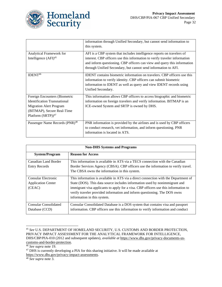

|                                                                                                                                                                         | information through Unified Secondary, but cannot send information to<br>this system.                                                                                                                                                                                                              |
|-------------------------------------------------------------------------------------------------------------------------------------------------------------------------|----------------------------------------------------------------------------------------------------------------------------------------------------------------------------------------------------------------------------------------------------------------------------------------------------|
| Analytical Framework for<br>Intelligence $(AFI)^{45}$                                                                                                                   | AFI is a CBP system that includes intelligence reports on travelers of<br>interest. CBP officers use this information to verify traveler information<br>and inform questioning. CBP officers can view and query this information<br>through Unified Secondary, but cannot send information to AFI. |
| IDENT <sup>46</sup>                                                                                                                                                     | <b>IDENT</b> contains biometric information on travelers. CBP officers use this<br>information to verify identity. CBP officers can submit biometric<br>information to IDENT as well as query and view IDENT records using<br>Unified Secondary.                                                   |
| Foreign Encounters (Biometric<br><b>Identification Transnational</b><br><b>Migration Alert Program</b><br>(BITMAP), Secure Real-Time<br>Platform $(SRTP)$ <sup>47</sup> | This information allows CBP officers to access biographic and biometric<br>information on foreign travelers and verify information. BITMAP is an<br>ICE-owned System and SRTP is owned by DHS.                                                                                                     |
| Passenger Name Records (PNR) <sup>48</sup>                                                                                                                              | PNR information is provided by the airlines and is used by CBP officers<br>to conduct research, vet information, and inform questioning. PNR<br>information is located in ATS.                                                                                                                     |

| <b>Non-DHS Systems and Programs</b> |                                                                                     |  |
|-------------------------------------|-------------------------------------------------------------------------------------|--|
| <b>System/Program</b>               | <b>Reason for Access</b>                                                            |  |
| Canadian Land Border                | This information is available in ATS via a TECS connection with the Canadian        |  |
| <b>Entry Records</b>                | Border Services Agency (CBSA). CBP officers use the information to verify travel.   |  |
|                                     | The CBSA owns the information in this system.                                       |  |
| Consular Electronic                 | This information is available in ATS via a direct connection with the Department of |  |
| <b>Application Center</b>           | State (DOS). This data source includes information used by nonimmigrant and         |  |
| (CEAC)                              | immigrant visa applicants to apply for a visa. CBP officers use this information to |  |
|                                     | verify traveler provided information and inform questioning. The DOS owns           |  |
|                                     | information in this system.                                                         |  |
| <b>Consular Consolidated</b>        | Consular Consolidated Database is a DOS system that contains visa and passport      |  |
| Database (CCD)                      | information. CBP officers use this information to verify information and conduct    |  |

<sup>45</sup> *See* U.S. DEPARTMENT OF HOMELAND SECURITY, U.S. CUSTOMS AND BORDER PROTECTION, PRIVACY IMPACT ASSESSMENT FOR THE ANALYTICAL FRAMEWORK FOR INTELLIGENCE, DHS/CBP/PIA-010 (2012 and subsequent updates), *available at* [https://www.dhs.gov/privacy-documents-us](https://www.dhs.gov/privacy-documents-us-customs-and-border-protection)[customs-and-border-protection.](https://www.dhs.gov/privacy-documents-us-customs-and-border-protection)

<sup>46</sup> *See supra* note 19.

<sup>&</sup>lt;sup>47</sup> DHS is currently developing a PIA for this sharing initiative. It will be made available at [https://www.dhs.gov/privacy-impact-assessments.](https://www.dhs.gov/privacy-impact-assessments)

<sup>48</sup> *See supra* note 3.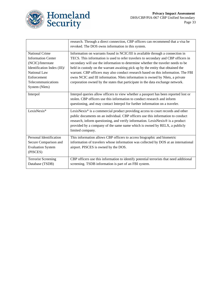

|                                                                                                                                                                               | research. Through a direct connection, CBP officers can recommend that a visa be<br>revoked. The DOS owns information in this system.                                                                                                                                                                                                                                                                                                                                                                                                                                                                |
|-------------------------------------------------------------------------------------------------------------------------------------------------------------------------------|------------------------------------------------------------------------------------------------------------------------------------------------------------------------------------------------------------------------------------------------------------------------------------------------------------------------------------------------------------------------------------------------------------------------------------------------------------------------------------------------------------------------------------------------------------------------------------------------------|
| <b>National Crime</b><br><b>Information Center</b><br>(NCIC)/Interstate<br>Identification Index (III)/<br>National Law<br>Enforcement<br>Telecommunications<br>System (Nlets) | Information on warrants found in NCIC/III is available through a connection in<br>TECS. This information is used to refer travelers to secondary and CBP officers in<br>secondary will use the information to determine whether the traveler needs to be<br>held in custody on the warrant awaiting pick up by the entity that obtained the<br>warrant. CBP officers may also conduct research based on this information. The FBI<br>owns NCIC and III information. Nlets information is owned by Nlets, a private<br>corporation owned by the states that participate in the data exchange network. |
| Interpol                                                                                                                                                                      | Interpol queries allow officers to view whether a passport has been reported lost or<br>stolen. CBP officers use this information to conduct research and inform<br>questioning, and may contact Interpol for further information on a traveler.                                                                                                                                                                                                                                                                                                                                                     |
| LexisNexis <sup>®</sup>                                                                                                                                                       | LexisNexis® is a commercial product providing access to court records and other<br>public documents on an individual. CBP officers use this information to conduct<br>research, inform questioning, and verify information. LexisNexis® is a product<br>provided by a company of the same name which is owned by RELX, a publicly<br>limited company.                                                                                                                                                                                                                                                |
| Personal Identification<br>Secure Comparison and<br><b>Evaluation System</b><br>(PISCES)                                                                                      | This information allows CBP officers to access biographic and biometric<br>information of travelers whose information was collected by DOS at an international<br>airport. PISCES is owned by the DOS.                                                                                                                                                                                                                                                                                                                                                                                               |
| <b>Terrorist Screening</b><br>Database (TSDB)                                                                                                                                 | CBP officers use this information to identify potential terrorists that need additional<br>screening. TSDB information is part of an FBI system.                                                                                                                                                                                                                                                                                                                                                                                                                                                     |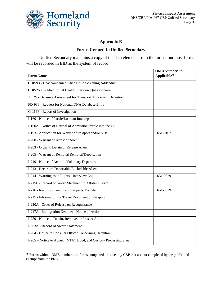

#### **Appendix B**

#### **Forms Created In Unified Secondary**

Unified Secondary maintains a copy of the data elements from the forms, but most forms will be recorded in EID as the system of record.

| <b>Form Name</b>                                                   | <b>OMB Number, if</b><br>Applicable <sup>49</sup> |
|--------------------------------------------------------------------|---------------------------------------------------|
| CBP-93 - Unaccompanied Alien Child Screening Addendum              |                                                   |
| CBP-2500 - Alien Initial Health Interview Questionnaire            |                                                   |
| TEDS - Detainee Assessment for Transport, Escort and Detention     |                                                   |
| FD-936 - Request for National DNA Database Entry                   |                                                   |
| G-166F - Report of Investigation                                   |                                                   |
| I-160 - Notice of Parole/Lookout Intercept                         |                                                   |
| I-160A - Notice of Refusal of Admission/Parole into the US         |                                                   |
| I-193 - Application for Waiver of Passport and/or Visa             | 1651-0107                                         |
| I-200 - Warrant of Arrest of Alien                                 |                                                   |
| I-203 - Order to Detain or Release Alien                           |                                                   |
| I-205 - Warrant of Removal Removal/Deportation                     |                                                   |
| I-210 - Notice of Action - Voluntary Departure                     |                                                   |
| I-213 - Record of Deportable/Excludable Alien                      |                                                   |
| I-214 - Warning as to Rights - Interview Log                       | 1651-0029                                         |
| I-215B - Record of Sworn Statement in Affidavit Form               |                                                   |
| I-216 - Record of Person and Property Transfer                     | 1651-0029                                         |
| I-217 - Information for Travel Document or Passport                |                                                   |
| I-220A - Order of Release on Recognizance                          |                                                   |
| I-247A - Immigration Detainer - Notice of Action                   |                                                   |
| I-259 - Notice to Detain, Remove, or Present Alien                 |                                                   |
| I-263A - Record of Sworn Statement                                 |                                                   |
| I-264 - Notice to Consular Officer Concerning Detention            |                                                   |
| I-265 – Notice to Appear (NTA), Bond, and Custody Processing Sheet |                                                   |

<sup>&</sup>lt;sup>49</sup> Forms without OMB numbers are forms completed or issued by CBP that are not completed by the public and exempt from the PRA.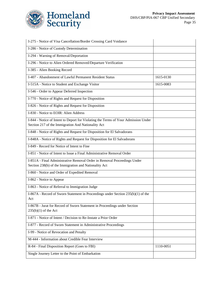

| I-275 - Notice of Visa Cancellation/Border Crossing Card Voidance                                   |           |
|-----------------------------------------------------------------------------------------------------|-----------|
| I-286 - Notice of Custody Determination                                                             |           |
| I-294 - Warning of Removal/Deportation                                                              |           |
| I-296 - Notice to Alien Ordered Removed/Departure Verification                                      |           |
| I-385 - Alien Booking Record                                                                        |           |
| I-407 - Abandonment of Lawful Permanent Resident Status                                             | 1615-0130 |
| I-515A - Notice to Student and Exchange Visitor                                                     | 1615-0083 |
| I-546 - Order to Appear Deferred Inspection                                                         |           |
| I-770 - Notice of Rights and Request for Disposition                                                |           |
| I-826 - Notice of Rights and Request for Disposition                                                |           |
| I-830 - Notice to EOIR: Alien Address                                                               |           |
| I-844 - Notice of Intent to Deport for Violating the Terms of Your Admission Under                  |           |
| Section 217 of the Immigration And Nationality Act                                                  |           |
| I-848 - Notice of Rights and Request for Disposition for El Salvadorans                             |           |
| I-848A - Notice of Rights and Request for Disposition for El Salvadorans                            |           |
| I-849 - Record for Notice of Intent to Fine                                                         |           |
| I-851 - Notice of Intent to Issue a Final Administrative Removal Order                              |           |
| I-851A - Final Administrative Removal Order in Removal Proceedings Under                            |           |
| Section 238(b) of the Immigration and Nationality Act                                               |           |
| I-860 - Notice and Order of Expedited Removal                                                       |           |
| I-862 - Notice to Appear                                                                            |           |
| I-863 - Notice of Referral to Immigration Judge                                                     |           |
| I-867A - Record of Sworn Statement in Proceedings under Section 235(b)(1) of the                    |           |
| Act                                                                                                 |           |
| I-867B - Jurat for Record of Sworn Statement in Proceedings under Section<br>$235(b)(1)$ of the Act |           |
| I-871 - Notice of Intent / Decision to Re-Instate a Prior Order                                     |           |
| I-877 - Record of Sworn Statement in Administrative Proceedings                                     |           |
| I-99 - Notice of Revocation and Penalty                                                             |           |
| M-444 - Information about Credible Fear Interview                                                   |           |
| R-84 - Final Disposition Report (Goes to FBI)                                                       | 1110-0051 |
| Single Journey Letter to the Point of Embarkation                                                   |           |